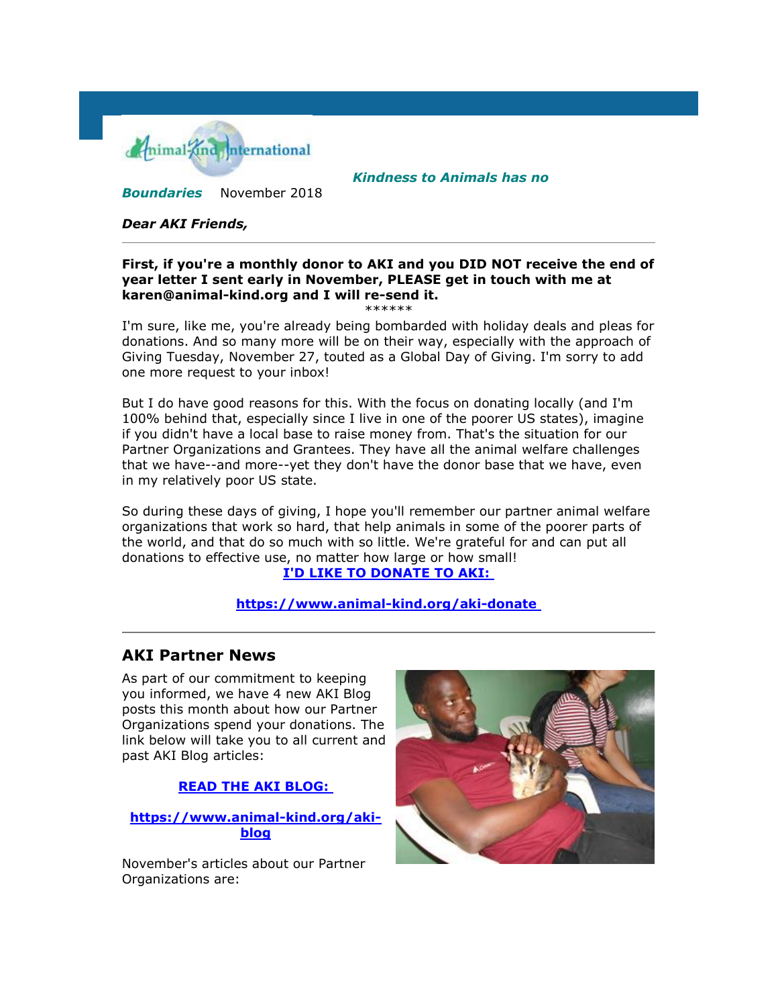

*Kindness to Animals has no* 

*Boundaries* November 2018

#### *Dear AKI Friends,*

#### **First, if you're a monthly donor to AKI and you DID NOT receive the end of year letter I sent early in November, PLEASE get in touch with me at karen@animal-kind.org and I will re-send it.** \*\*\*\*\*\*

I'm sure, like me, you're already being bombarded with holiday deals and pleas for donations. And so many more will be on their way, especially with the approach of Giving Tuesday, November 27, touted as a Global Day of Giving. I'm sorry to add one more request to your inbox!

But I do have good reasons for this. With the focus on donating locally (and I'm 100% behind that, especially since I live in one of the poorer US states), imagine if you didn't have a local base to raise money from. That's the situation for our Partner Organizations and Grantees. They have all the animal welfare challenges that we have--and more--yet they don't have the donor base that we have, even in my relatively poor US state.

So during these days of giving, I hope you'll remember our partner animal welfare organizations that work so hard, that help animals in some of the poorer parts of the world, and that do so much with so little. We're grateful for and can put all donations to effective use, no matter how large or how small!

### **[I'D LIKE TO DONATE TO AKI:](http://cts.vresp.com/c/?AnimalKindInternatio/1fcb8d9cc0/4d75da415c/09b0d9dbf8)**

#### **[https://www.animal-kind.org/aki-donate](http://cts.vresp.com/c/?AnimalKindInternatio/1fcb8d9cc0/4d75da415c/197c70e057)**

## **AKI Partner News**

As part of our commitment to keeping you informed, we have 4 new AKI Blog posts this month about how our Partner Organizations spend your donations. The link below will take you to all current and past AKI Blog articles:

**[READ THE AKI BLOG:](http://cts.vresp.com/c/?AnimalKindInternatio/1fcb8d9cc0/4d75da415c/dec615faf2)**

**[https://www.animal-kind.org/aki](http://cts.vresp.com/c/?AnimalKindInternatio/1fcb8d9cc0/4d75da415c/07c76976af)[blog](http://cts.vresp.com/c/?AnimalKindInternatio/1fcb8d9cc0/4d75da415c/07c76976af)**

November's articles about our Partner Organizations are:

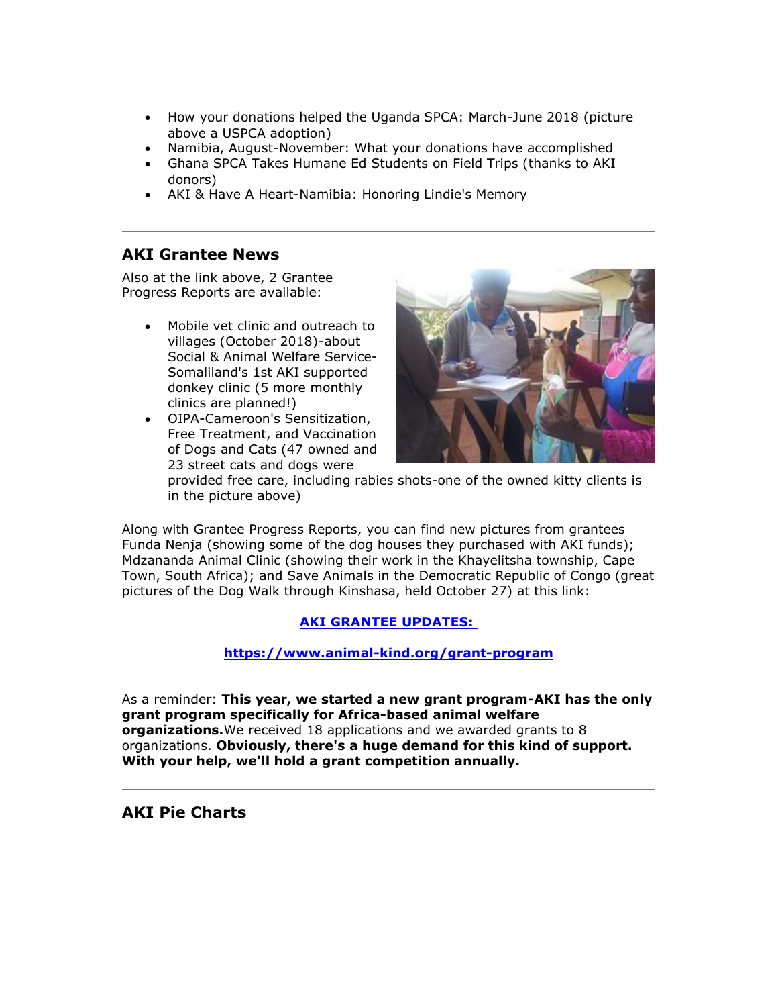- How your donations helped the Uganda SPCA: March-June 2018 (picture above a USPCA adoption)
- Namibia, August-November: What your donations have accomplished
- Ghana SPCA Takes Humane Ed Students on Field Trips (thanks to AKI donors)
- AKI & Have A Heart-Namibia: Honoring Lindie's Memory

# **AKI Grantee News**

Also at the link above, 2 Grantee Progress Reports are available:

- Mobile vet clinic and outreach to villages (October 2018)-about Social & Animal Welfare Service-Somaliland's 1st AKI supported donkey clinic (5 more monthly clinics are planned!)
- OIPA-Cameroon's Sensitization, Free Treatment, and Vaccination of Dogs and Cats (47 owned and 23 street cats and dogs were



provided free care, including rabies shots-one of the owned kitty clients is in the picture above)

Along with Grantee Progress Reports, you can find new pictures from grantees Funda Nenja (showing some of the dog houses they purchased with AKI funds); Mdzananda Animal Clinic (showing their work in the Khayelitsha township, Cape Town, South Africa); and Save Animals in the Democratic Republic of Congo (great pictures of the Dog Walk through Kinshasa, held October 27) at this link:

## **[AKI GRANTEE UPDATES:](http://cts.vresp.com/c/?AnimalKindInternatio/1fcb8d9cc0/4d75da415c/6647a03d90)**

### **[https://www.animal-kind.org/grant-program](http://cts.vresp.com/c/?AnimalKindInternatio/1fcb8d9cc0/4d75da415c/fe3c6dbc43)**

As a reminder: **This year, we started a new grant program-AKI has the only grant program specifically for Africa-based animal welfare organizations.**We received 18 applications and we awarded grants to 8 organizations. **Obviously, there's a huge demand for this kind of support. With your help, we'll hold a grant competition annually.**

**AKI Pie Charts**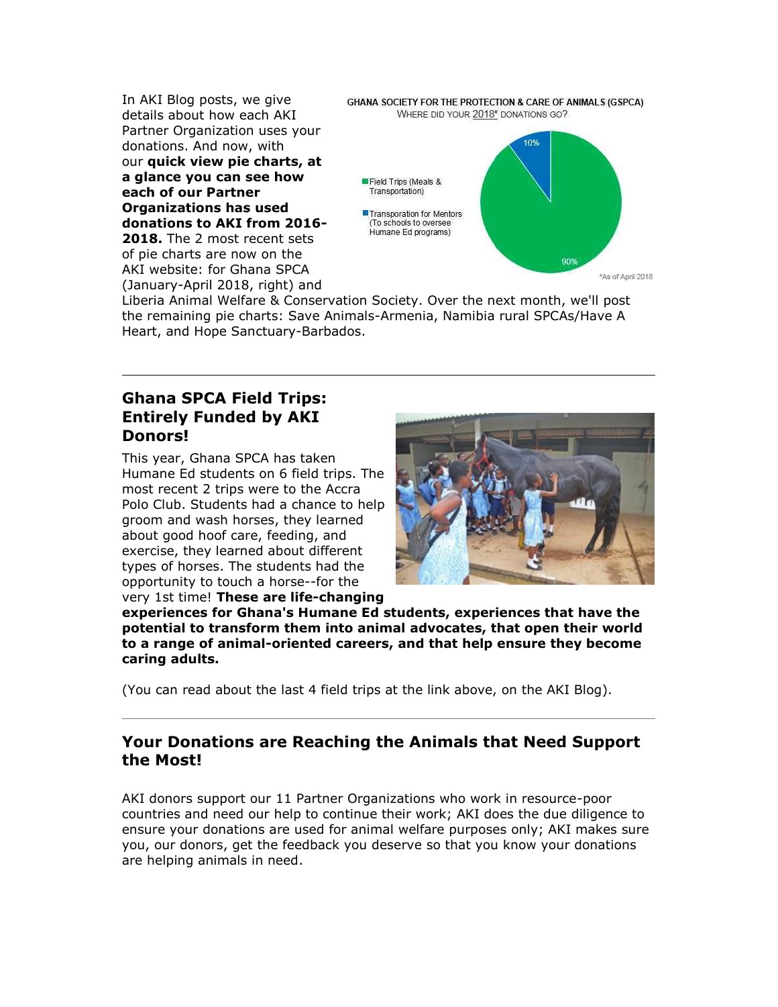In AKI Blog posts, we give details about how each AKI Partner Organization uses your donations. And now, with our **quick view pie charts, at a glance you can see how each of our Partner Organizations has used donations to AKI from 2016- 2018.** The 2 most recent sets of pie charts are now on the AKI website: for Ghana SPCA

(January-April 2018, right) and

GHANA SOCIETY FOR THE PROTECTION & CARE OF ANIMALS (GSPCA) WHERE DID YOUR 2018\* DONATIONS GO?



Liberia Animal Welfare & Conservation Society. Over the next month, we'll post the remaining pie charts: Save Animals-Armenia, Namibia rural SPCAs/Have A Heart, and Hope Sanctuary-Barbados.

# **Ghana SPCA Field Trips: Entirely Funded by AKI Donors!**

This year, Ghana SPCA has taken Humane Ed students on 6 field trips. The most recent 2 trips were to the Accra Polo Club. Students had a chance to help groom and wash horses, they learned about good hoof care, feeding, and exercise, they learned about different types of horses. The students had the opportunity to touch a horse--for the very 1st time! **These are life-changing** 



**experiences for Ghana's Humane Ed students, experiences that have the potential to transform them into animal advocates, that open their world to a range of animal-oriented careers, and that help ensure they become caring adults.**

(You can read about the last 4 field trips at the link above, on the AKI Blog).

# **Your Donations are Reaching the Animals that Need Support the Most!**

AKI donors support our 11 Partner Organizations who work in resource-poor countries and need our help to continue their work; AKI does the due diligence to ensure your donations are used for animal welfare purposes only; AKI makes sure you, our donors, get the feedback you deserve so that you know your donations are helping animals in need.